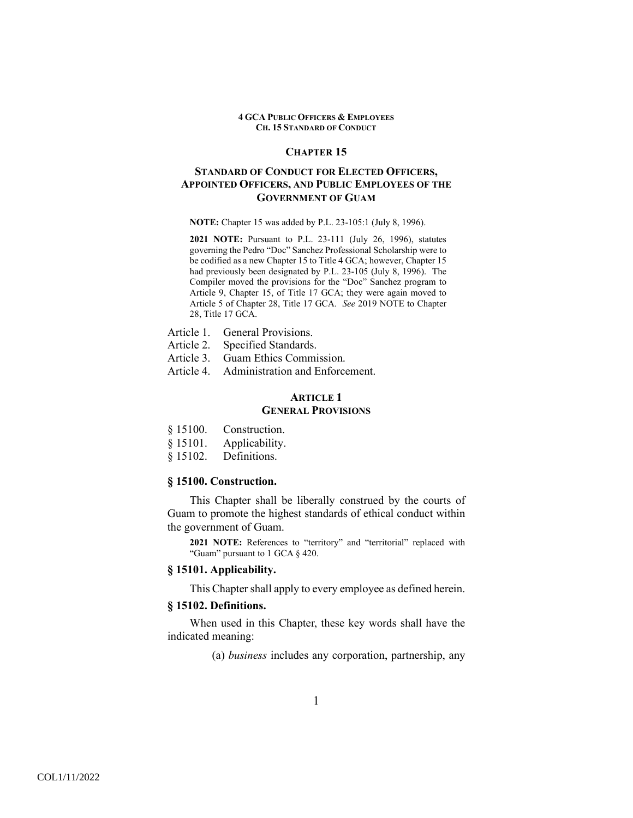## **CHAPTER 15**

# **STANDARD OF CONDUCT FOR ELECTED OFFICERS, APPOINTED OFFICERS, AND PUBLIC EMPLOYEES OF THE GOVERNMENT OF GUAM**

**NOTE:** Chapter 15 was added by P.L. 23-105:1 (July 8, 1996).

**2021 NOTE:** Pursuant to P.L. 23-111 (July 26, 1996), statutes governing the Pedro "Doc" Sanchez Professional Scholarship were to be codified as a new Chapter 15 to Title 4 GCA; however, Chapter 15 had previously been designated by P.L. 23-105 (July 8, 1996). The Compiler moved the provisions for the "Doc" Sanchez program to Article 9, Chapter 15, of Title 17 GCA; they were again moved to Article 5 of Chapter 28, Title 17 GCA. *See* 2019 NOTE to Chapter 28, Title 17 GCA.

- Article 1. General Provisions.
- Article 2. Specified Standards.
- Article 3. Guam Ethics Commission.
- Article 4. Administration and Enforcement.

# **ARTICLE 1 GENERAL PROVISIONS**

- § 15100. Construction.
- § 15101. Applicability.
- § 15102. Definitions.

# **§ 15100. Construction.**

 This Chapter shall be liberally construed by the courts of Guam to promote the highest standards of ethical conduct within the government of Guam.

**2021 NOTE:** References to "territory" and "territorial" replaced with "Guam" pursuant to 1 GCA § 420.

## **§ 15101. Applicability.**

This Chapter shall apply to every employee as defined herein.

## **§ 15102. Definitions.**

 When used in this Chapter, these key words shall have the indicated meaning:

(a) *business* includes any corporation, partnership, any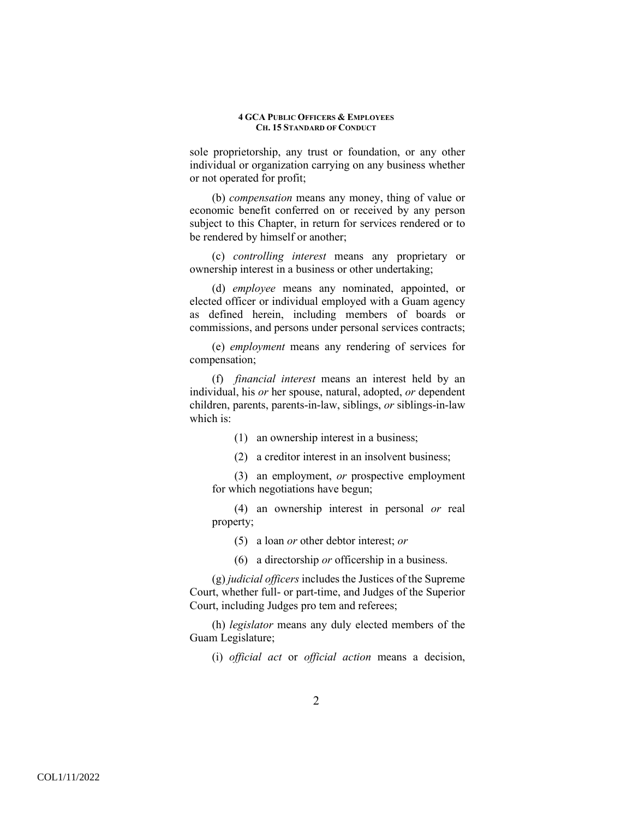sole proprietorship, any trust or foundation, or any other individual or organization carrying on any business whether or not operated for profit;

(b) *compensation* means any money, thing of value or economic benefit conferred on or received by any person subject to this Chapter, in return for services rendered or to be rendered by himself or another;

(c) *controlling interest* means any proprietary or ownership interest in a business or other undertaking;

(d) *employee* means any nominated, appointed, or elected officer or individual employed with a Guam agency as defined herein, including members of boards or commissions, and persons under personal services contracts;

(e) *employment* means any rendering of services for compensation;

(f) *financial interest* means an interest held by an individual, his *or* her spouse, natural, adopted, *or* dependent children, parents, parents-in-law, siblings, *or* siblings-in-law which is:

(1) an ownership interest in a business;

(2) a creditor interest in an insolvent business;

(3) an employment, *or* prospective employment for which negotiations have begun;

(4) an ownership interest in personal *or* real property;

(5) a loan *or* other debtor interest; *or*

(6) a directorship *or* officership in a business.

(g) *judicial officers* includes the Justices of the Supreme Court, whether full- or part-time, and Judges of the Superior Court, including Judges pro tem and referees;

(h) *legislator* means any duly elected members of the Guam Legislature;

(i) *official act* or *official action* means a decision,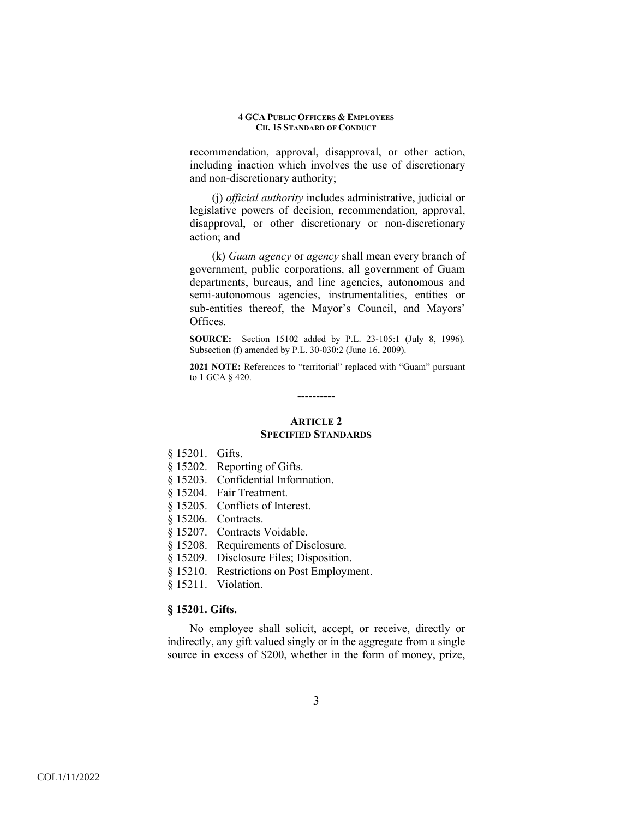recommendation, approval, disapproval, or other action, including inaction which involves the use of discretionary and non-discretionary authority;

(j) *official authority* includes administrative, judicial or legislative powers of decision, recommendation, approval, disapproval, or other discretionary or non-discretionary action; and

(k) *Guam agency* or *agency* shall mean every branch of government, public corporations, all government of Guam departments, bureaus, and line agencies, autonomous and semi-autonomous agencies, instrumentalities, entities or sub-entities thereof, the Mayor's Council, and Mayors' Offices.

**SOURCE:** Section 15102 added by P.L. 23-105:1 (July 8, 1996). Subsection (f) amended by P.L. 30-030:2 (June 16, 2009).

**2021 NOTE:** References to "territorial" replaced with "Guam" pursuant to 1 GCA § 420.

# **ARTICLE 2**

----------

# **SPECIFIED STANDARDS**

- § 15201. Gifts.
- § 15202. Reporting of Gifts.
- § 15203. Confidential Information.
- § 15204. Fair Treatment.
- § 15205. Conflicts of Interest.
- § 15206. Contracts.
- § 15207. Contracts Voidable.
- § 15208. Requirements of Disclosure.
- § 15209. Disclosure Files; Disposition.
- § 15210. Restrictions on Post Employment.
- § 15211. Violation.

# **§ 15201. Gifts.**

No employee shall solicit, accept, or receive, directly or indirectly, any gift valued singly or in the aggregate from a single source in excess of \$200, whether in the form of money, prize,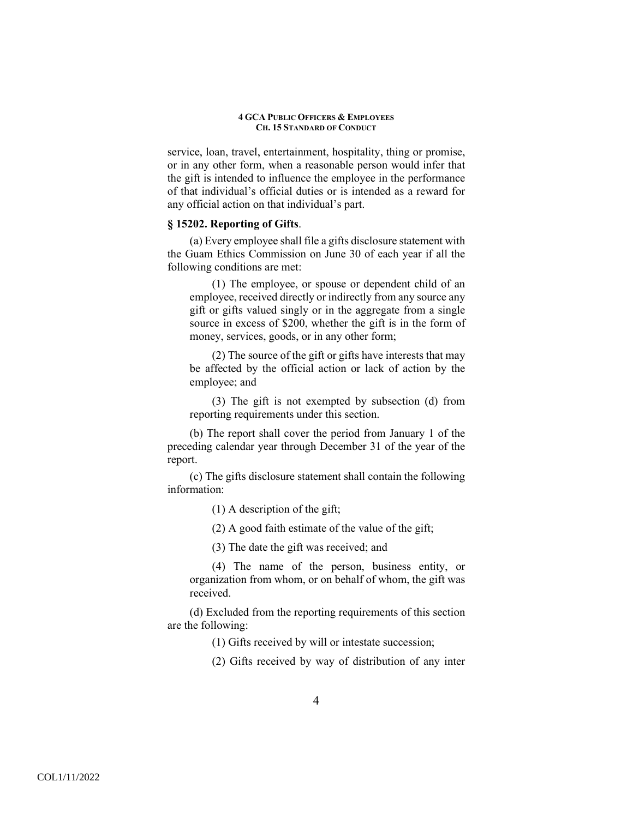service, loan, travel, entertainment, hospitality, thing or promise, or in any other form, when a reasonable person would infer that the gift is intended to influence the employee in the performance of that individual's official duties or is intended as a reward for any official action on that individual's part.

# **§ 15202. Reporting of Gifts**.

(a) Every employee shall file a gifts disclosure statement with the Guam Ethics Commission on June 30 of each year if all the following conditions are met:

(1) The employee, or spouse or dependent child of an employee, received directly or indirectly from any source any gift or gifts valued singly or in the aggregate from a single source in excess of \$200, whether the gift is in the form of money, services, goods, or in any other form;

(2) The source of the gift or gifts have interests that may be affected by the official action or lack of action by the employee; and

(3) The gift is not exempted by subsection (d) from reporting requirements under this section.

(b) The report shall cover the period from January 1 of the preceding calendar year through December 31 of the year of the report.

(c) The gifts disclosure statement shall contain the following information:

(1) A description of the gift;

(2) A good faith estimate of the value of the gift;

(3) The date the gift was received; and

(4) The name of the person, business entity, or organization from whom, or on behalf of whom, the gift was received.

(d) Excluded from the reporting requirements of this section are the following:

(1) Gifts received by will or intestate succession;

(2) Gifts received by way of distribution of any inter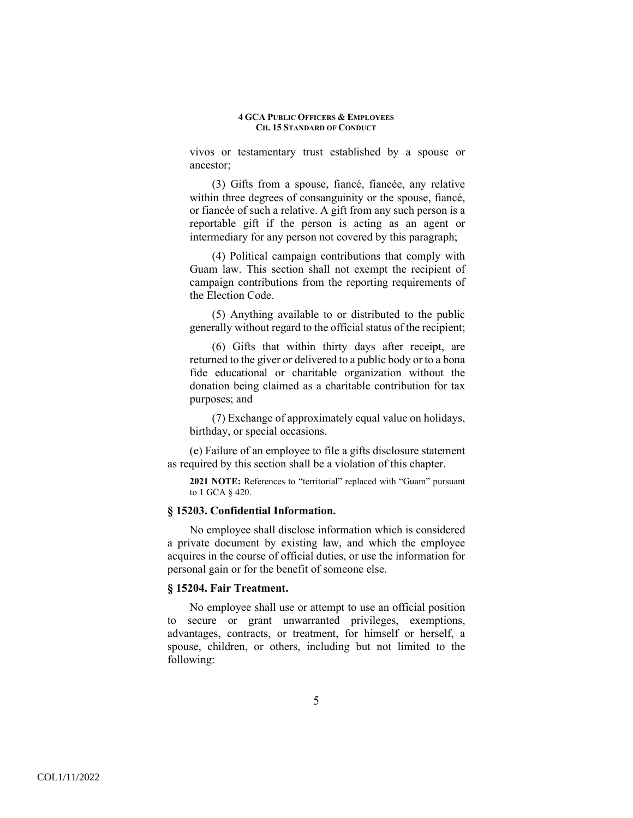vivos or testamentary trust established by a spouse or ancestor;

(3) Gifts from a spouse, fiancé, fiancée, any relative within three degrees of consanguinity or the spouse, fiancé, or fiancée of such a relative. A gift from any such person is a reportable gift if the person is acting as an agent or intermediary for any person not covered by this paragraph;

(4) Political campaign contributions that comply with Guam law. This section shall not exempt the recipient of campaign contributions from the reporting requirements of the Election Code.

(5) Anything available to or distributed to the public generally without regard to the official status of the recipient;

(6) Gifts that within thirty days after receipt, are returned to the giver or delivered to a public body or to a bona fide educational or charitable organization without the donation being claimed as a charitable contribution for tax purposes; and

(7) Exchange of approximately equal value on holidays, birthday, or special occasions.

(e) Failure of an employee to file a gifts disclosure statement as required by this section shall be a violation of this chapter.

**2021 NOTE:** References to "territorial" replaced with "Guam" pursuant to 1 GCA § 420.

## **§ 15203. Confidential Information.**

No employee shall disclose information which is considered a private document by existing law, and which the employee acquires in the course of official duties, or use the information for personal gain or for the benefit of someone else.

## **§ 15204. Fair Treatment.**

No employee shall use or attempt to use an official position to secure or grant unwarranted privileges, exemptions, advantages, contracts, or treatment, for himself or herself, a spouse, children, or others, including but not limited to the following: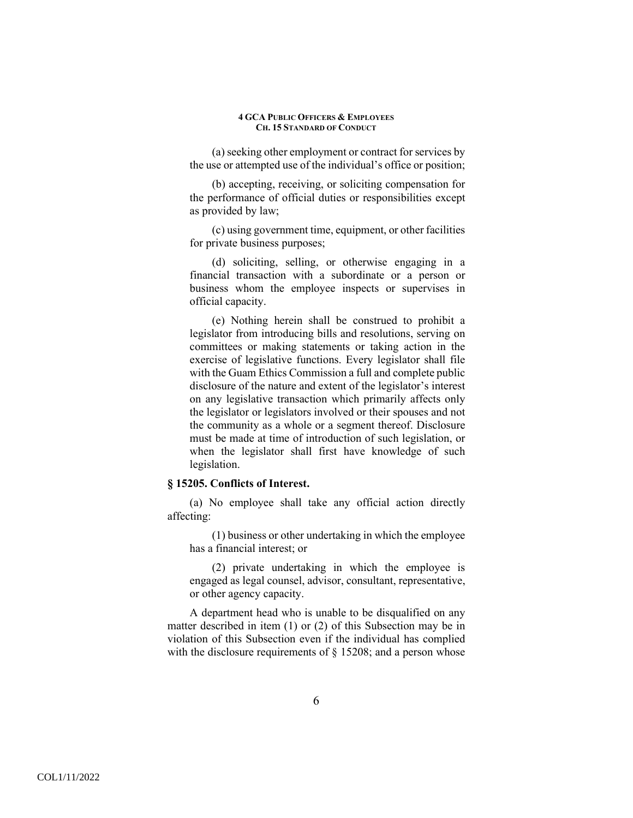(a) seeking other employment or contract for services by the use or attempted use of the individual's office or position;

(b) accepting, receiving, or soliciting compensation for the performance of official duties or responsibilities except as provided by law;

(c) using government time, equipment, or other facilities for private business purposes;

(d) soliciting, selling, or otherwise engaging in a financial transaction with a subordinate or a person or business whom the employee inspects or supervises in official capacity.

(e) Nothing herein shall be construed to prohibit a legislator from introducing bills and resolutions, serving on committees or making statements or taking action in the exercise of legislative functions. Every legislator shall file with the Guam Ethics Commission a full and complete public disclosure of the nature and extent of the legislator's interest on any legislative transaction which primarily affects only the legislator or legislators involved or their spouses and not the community as a whole or a segment thereof. Disclosure must be made at time of introduction of such legislation, or when the legislator shall first have knowledge of such legislation.

# **§ 15205. Conflicts of Interest.**

(a) No employee shall take any official action directly affecting:

(1) business or other undertaking in which the employee has a financial interest; or

(2) private undertaking in which the employee is engaged as legal counsel, advisor, consultant, representative, or other agency capacity.

A department head who is unable to be disqualified on any matter described in item (1) or (2) of this Subsection may be in violation of this Subsection even if the individual has complied with the disclosure requirements of § 15208; and a person whose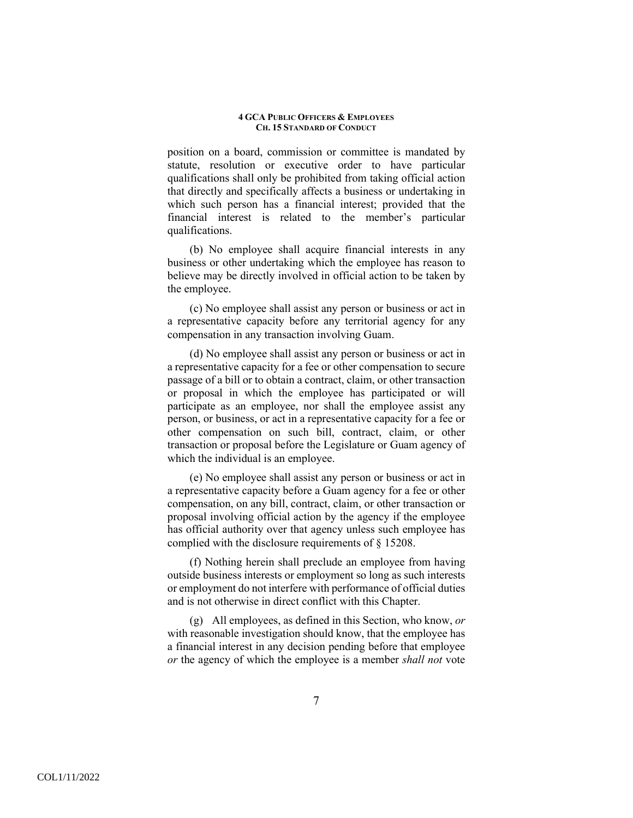position on a board, commission or committee is mandated by statute, resolution or executive order to have particular qualifications shall only be prohibited from taking official action that directly and specifically affects a business or undertaking in which such person has a financial interest; provided that the financial interest is related to the member's particular qualifications.

(b) No employee shall acquire financial interests in any business or other undertaking which the employee has reason to believe may be directly involved in official action to be taken by the employee.

(c) No employee shall assist any person or business or act in a representative capacity before any territorial agency for any compensation in any transaction involving Guam.

(d) No employee shall assist any person or business or act in a representative capacity for a fee or other compensation to secure passage of a bill or to obtain a contract, claim, or other transaction or proposal in which the employee has participated or will participate as an employee, nor shall the employee assist any person, or business, or act in a representative capacity for a fee or other compensation on such bill, contract, claim, or other transaction or proposal before the Legislature or Guam agency of which the individual is an employee.

(e) No employee shall assist any person or business or act in a representative capacity before a Guam agency for a fee or other compensation, on any bill, contract, claim, or other transaction or proposal involving official action by the agency if the employee has official authority over that agency unless such employee has complied with the disclosure requirements of § 15208.

(f) Nothing herein shall preclude an employee from having outside business interests or employment so long as such interests or employment do not interfere with performance of official duties and is not otherwise in direct conflict with this Chapter.

(g) All employees, as defined in this Section, who know, *or* with reasonable investigation should know, that the employee has a financial interest in any decision pending before that employee *or* the agency of which the employee is a member *shall not* vote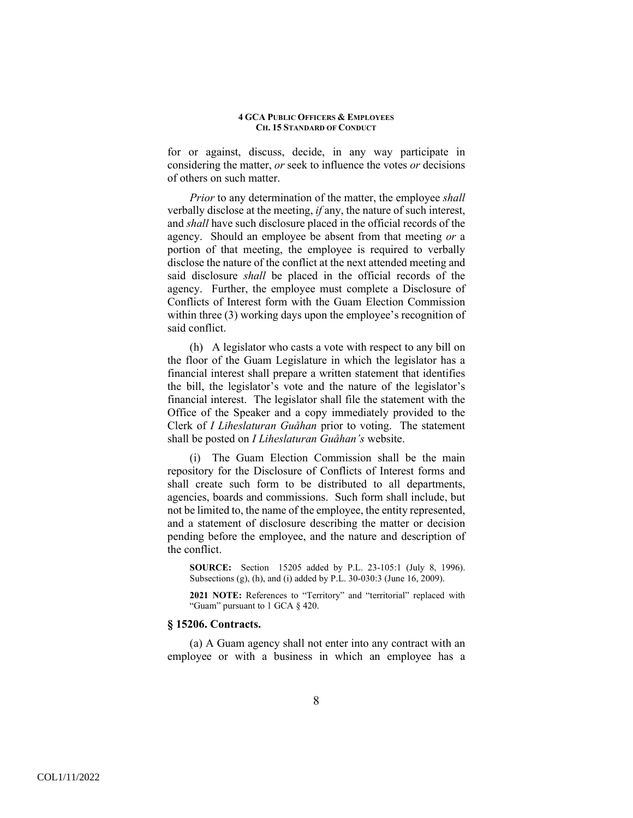for or against, discuss, decide, in any way participate in considering the matter, *or* seek to influence the votes *or* decisions of others on such matter.

*Prior* to any determination of the matter, the employee *shall* verbally disclose at the meeting, *if* any, the nature of such interest, and *shall* have such disclosure placed in the official records of the agency. Should an employee be absent from that meeting *or* a portion of that meeting, the employee is required to verbally disclose the nature of the conflict at the next attended meeting and said disclosure *shall* be placed in the official records of the agency. Further, the employee must complete a Disclosure of Conflicts of Interest form with the Guam Election Commission within three (3) working days upon the employee's recognition of said conflict.

(h) A legislator who casts a vote with respect to any bill on the floor of the Guam Legislature in which the legislator has a financial interest shall prepare a written statement that identifies the bill, the legislator's vote and the nature of the legislator's financial interest. The legislator shall file the statement with the Office of the Speaker and a copy immediately provided to the Clerk of *I Liheslaturan Guåhan* prior to voting. The statement shall be posted on *I Liheslaturan Guåhan's* website.

(i) The Guam Election Commission shall be the main repository for the Disclosure of Conflicts of Interest forms and shall create such form to be distributed to all departments, agencies, boards and commissions. Such form shall include, but not be limited to, the name of the employee, the entity represented, and a statement of disclosure describing the matter or decision pending before the employee, and the nature and description of the conflict.

**SOURCE:** Section 15205 added by P.L. 23-105:1 (July 8, 1996). Subsections (g), (h), and (i) added by P.L. 30-030:3 (June 16, 2009).

**2021 NOTE:** References to "Territory" and "territorial" replaced with "Guam" pursuant to 1 GCA § 420.

# **§ 15206. Contracts.**

(a) A Guam agency shall not enter into any contract with an employee or with a business in which an employee has a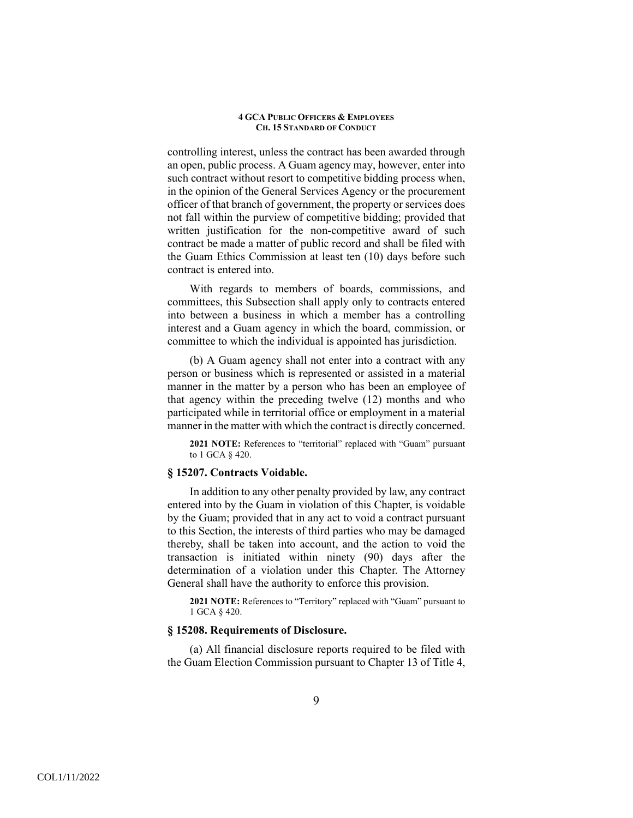controlling interest, unless the contract has been awarded through an open, public process. A Guam agency may, however, enter into such contract without resort to competitive bidding process when, in the opinion of the General Services Agency or the procurement officer of that branch of government, the property or services does not fall within the purview of competitive bidding; provided that written justification for the non-competitive award of such contract be made a matter of public record and shall be filed with the Guam Ethics Commission at least ten (10) days before such contract is entered into.

With regards to members of boards, commissions, and committees, this Subsection shall apply only to contracts entered into between a business in which a member has a controlling interest and a Guam agency in which the board, commission, or committee to which the individual is appointed has jurisdiction.

 (b) A Guam agency shall not enter into a contract with any person or business which is represented or assisted in a material manner in the matter by a person who has been an employee of that agency within the preceding twelve (12) months and who participated while in territorial office or employment in a material manner in the matter with which the contract is directly concerned.

**2021 NOTE:** References to "territorial" replaced with "Guam" pursuant to 1 GCA § 420.

# **§ 15207. Contracts Voidable.**

 In addition to any other penalty provided by law, any contract entered into by the Guam in violation of this Chapter, is voidable by the Guam; provided that in any act to void a contract pursuant to this Section, the interests of third parties who may be damaged thereby, shall be taken into account, and the action to void the transaction is initiated within ninety (90) days after the determination of a violation under this Chapter. The Attorney General shall have the authority to enforce this provision.

**2021 NOTE:** References to "Territory" replaced with "Guam" pursuant to 1 GCA § 420.

# **§ 15208. Requirements of Disclosure.**

(a) All financial disclosure reports required to be filed with the Guam Election Commission pursuant to Chapter 13 of Title 4,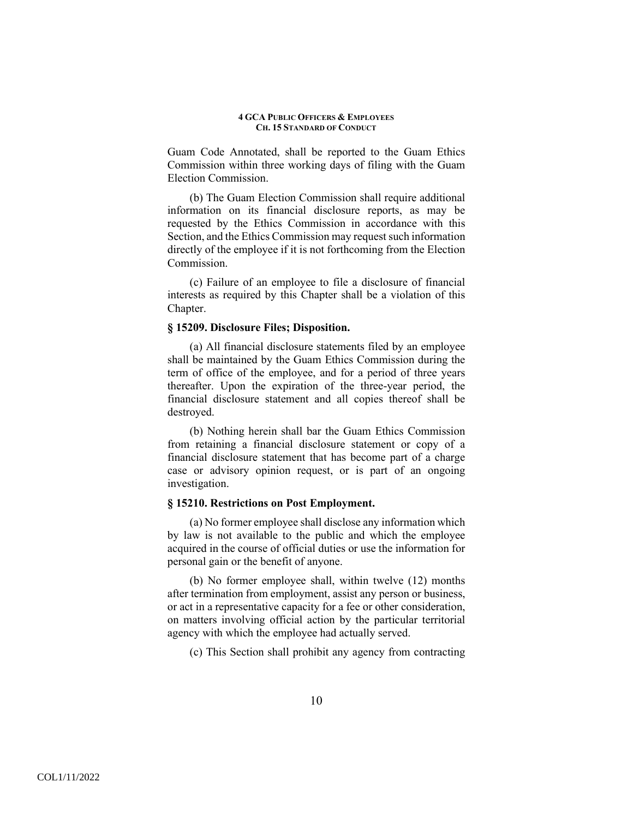Guam Code Annotated, shall be reported to the Guam Ethics Commission within three working days of filing with the Guam Election Commission.

(b) The Guam Election Commission shall require additional information on its financial disclosure reports, as may be requested by the Ethics Commission in accordance with this Section, and the Ethics Commission may request such information directly of the employee if it is not forthcoming from the Election Commission.

(c) Failure of an employee to file a disclosure of financial interests as required by this Chapter shall be a violation of this Chapter.

# **§ 15209. Disclosure Files; Disposition.**

(a) All financial disclosure statements filed by an employee shall be maintained by the Guam Ethics Commission during the term of office of the employee, and for a period of three years thereafter. Upon the expiration of the three-year period, the financial disclosure statement and all copies thereof shall be destroyed.

(b) Nothing herein shall bar the Guam Ethics Commission from retaining a financial disclosure statement or copy of a financial disclosure statement that has become part of a charge case or advisory opinion request, or is part of an ongoing investigation.

# **§ 15210. Restrictions on Post Employment.**

(a) No former employee shall disclose any information which by law is not available to the public and which the employee acquired in the course of official duties or use the information for personal gain or the benefit of anyone.

(b) No former employee shall, within twelve (12) months after termination from employment, assist any person or business, or act in a representative capacity for a fee or other consideration, on matters involving official action by the particular territorial agency with which the employee had actually served.

(c) This Section shall prohibit any agency from contracting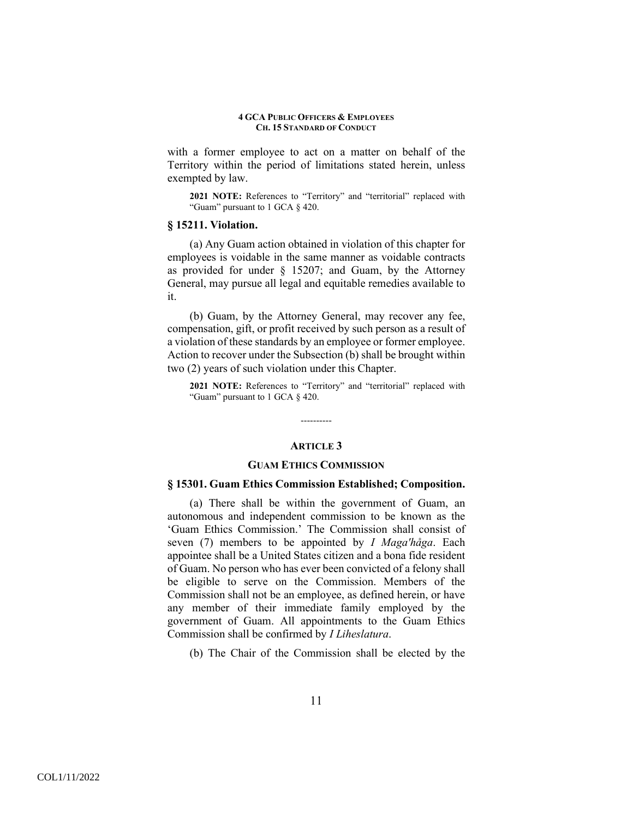with a former employee to act on a matter on behalf of the Territory within the period of limitations stated herein, unless exempted by law.

**2021 NOTE:** References to "Territory" and "territorial" replaced with "Guam" pursuant to 1 GCA § 420.

## **§ 15211. Violation.**

(a) Any Guam action obtained in violation of this chapter for employees is voidable in the same manner as voidable contracts as provided for under § 15207; and Guam, by the Attorney General, may pursue all legal and equitable remedies available to it.

(b) Guam, by the Attorney General, may recover any fee, compensation, gift, or profit received by such person as a result of a violation of these standards by an employee or former employee. Action to recover under the Subsection (b) shall be brought within two (2) years of such violation under this Chapter.

**2021 NOTE:** References to "Territory" and "territorial" replaced with "Guam" pursuant to 1 GCA § 420.

## **ARTICLE 3**

----------

## **GUAM ETHICS COMMISSION**

## **§ 15301. Guam Ethics Commission Established; Composition.**

(a) There shall be within the government of Guam, an autonomous and independent commission to be known as the 'Guam Ethics Commission.' The Commission shall consist of seven (7) members to be appointed by *I Magaʹhåga*. Each appointee shall be a United States citizen and a bona fide resident of Guam. No person who has ever been convicted of a felony shall be eligible to serve on the Commission. Members of the Commission shall not be an employee, as defined herein, or have any member of their immediate family employed by the government of Guam. All appointments to the Guam Ethics Commission shall be confirmed by *I Liheslatura*.

(b) The Chair of the Commission shall be elected by the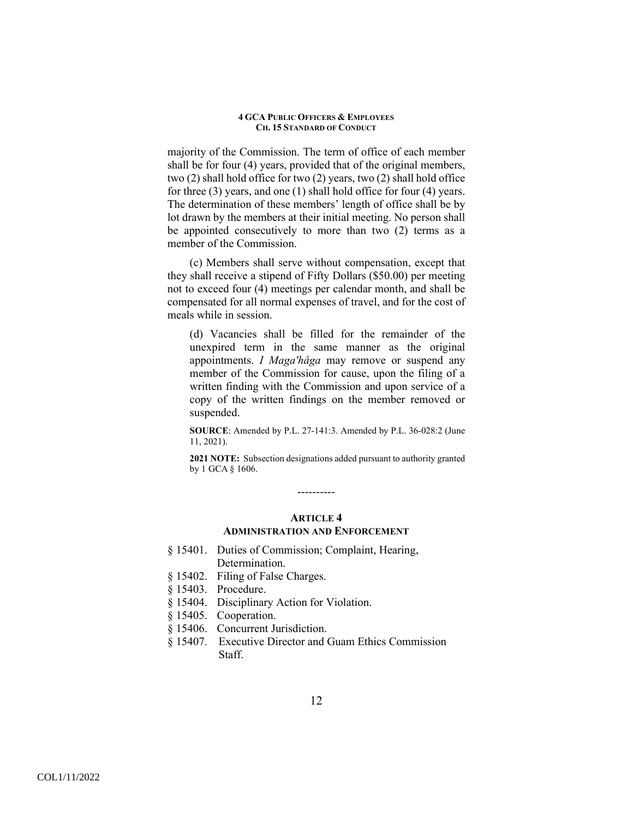majority of the Commission. The term of office of each member shall be for four (4) years, provided that of the original members, two (2) shall hold office for two (2) years, two (2) shall hold office for three (3) years, and one (1) shall hold office for four (4) years. The determination of these members' length of office shall be by lot drawn by the members at their initial meeting. No person shall be appointed consecutively to more than two (2) terms as a member of the Commission.

(c) Members shall serve without compensation, except that they shall receive a stipend of Fifty Dollars (\$50.00) per meeting not to exceed four (4) meetings per calendar month, and shall be compensated for all normal expenses of travel, and for the cost of meals while in session.

(d) Vacancies shall be filled for the remainder of the unexpired term in the same manner as the original appointments. *I Magaʹhåga* may remove or suspend any member of the Commission for cause, upon the filing of a written finding with the Commission and upon service of a copy of the written findings on the member removed or suspended.

**SOURCE**: Amended by P.L. 27-141:3. Amended by P.L. 36-028:2 (June 11, 2021).

**2021 NOTE:** Subsection designations added pursuant to authority granted by 1 GCA § 1606.

> **ARTICLE 4 ADMINISTRATION AND ENFORCEMENT**

----------

- § 15401. Duties of Commission; Complaint, Hearing, Determination.
- § 15402. Filing of False Charges.
- § 15403. Procedure.
- § 15404. Disciplinary Action for Violation.
- § 15405. Cooperation.
- § 15406. Concurrent Jurisdiction.
- § 15407. Executive Director and Guam Ethics Commission Staff.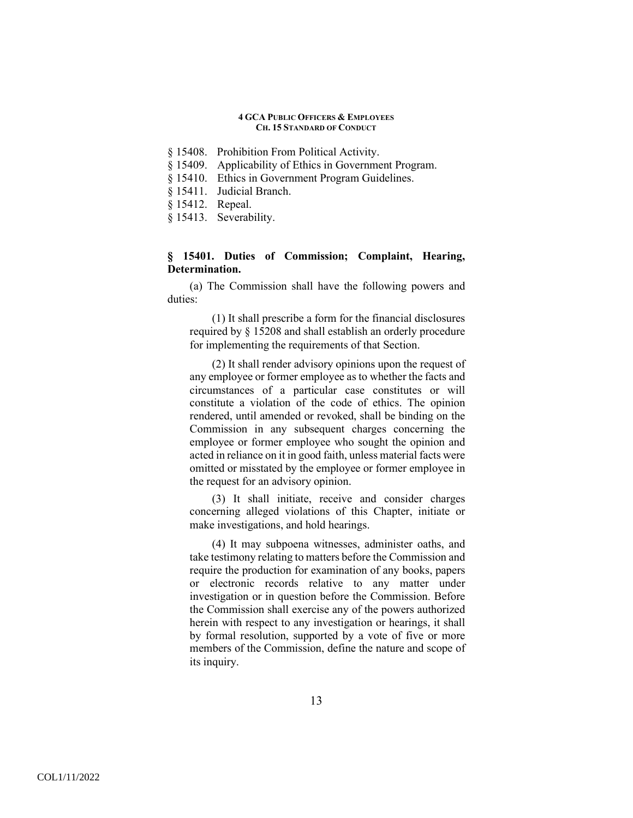- § 15408. Prohibition From Political Activity.
- § 15409. Applicability of Ethics in Government Program.
- § 15410. Ethics in Government Program Guidelines.
- § 15411. Judicial Branch.
- § 15412. Repeal.
- § 15413. Severability.

# **§ 15401. Duties of Commission; Complaint, Hearing, Determination.**

(a) The Commission shall have the following powers and duties:

(1) It shall prescribe a form for the financial disclosures required by § 15208 and shall establish an orderly procedure for implementing the requirements of that Section.

(2) It shall render advisory opinions upon the request of any employee or former employee as to whether the facts and circumstances of a particular case constitutes or will constitute a violation of the code of ethics. The opinion rendered, until amended or revoked, shall be binding on the Commission in any subsequent charges concerning the employee or former employee who sought the opinion and acted in reliance on it in good faith, unless material facts were omitted or misstated by the employee or former employee in the request for an advisory opinion.

(3) It shall initiate, receive and consider charges concerning alleged violations of this Chapter, initiate or make investigations, and hold hearings.

(4) It may subpoena witnesses, administer oaths, and take testimony relating to matters before the Commission and require the production for examination of any books, papers or electronic records relative to any matter under investigation or in question before the Commission. Before the Commission shall exercise any of the powers authorized herein with respect to any investigation or hearings, it shall by formal resolution, supported by a vote of five or more members of the Commission, define the nature and scope of its inquiry.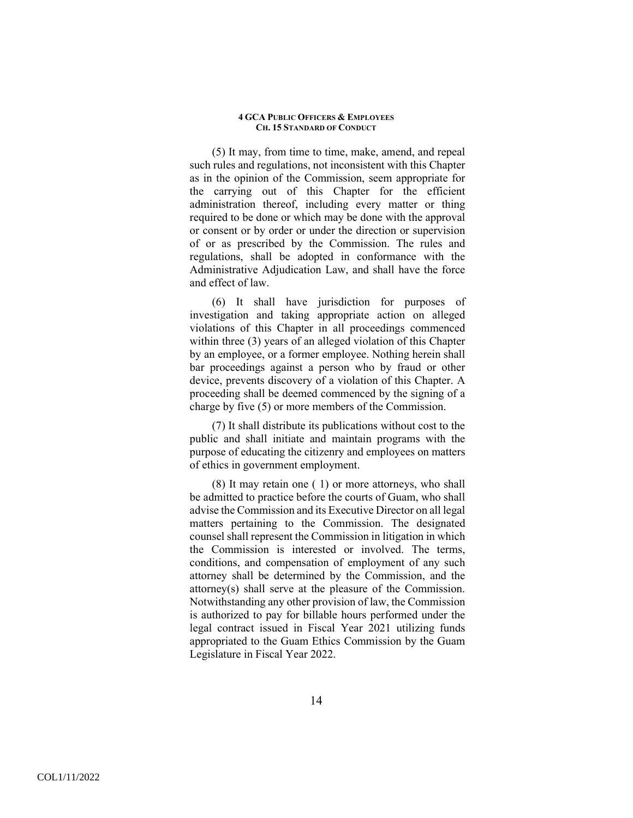(5) It may, from time to time, make, amend, and repeal such rules and regulations, not inconsistent with this Chapter as in the opinion of the Commission, seem appropriate for the carrying out of this Chapter for the efficient administration thereof, including every matter or thing required to be done or which may be done with the approval or consent or by order or under the direction or supervision of or as prescribed by the Commission. The rules and regulations, shall be adopted in conformance with the Administrative Adjudication Law, and shall have the force and effect of law.

(6) It shall have jurisdiction for purposes of investigation and taking appropriate action on alleged violations of this Chapter in all proceedings commenced within three (3) years of an alleged violation of this Chapter by an employee, or a former employee. Nothing herein shall bar proceedings against a person who by fraud or other device, prevents discovery of a violation of this Chapter. A proceeding shall be deemed commenced by the signing of a charge by five (5) or more members of the Commission.

(7) It shall distribute its publications without cost to the public and shall initiate and maintain programs with the purpose of educating the citizenry and employees on matters of ethics in government employment.

(8) It may retain one ( 1) or more attorneys, who shall be admitted to practice before the courts of Guam, who shall advise the Commission and its Executive Director on all legal matters pertaining to the Commission. The designated counsel shall represent the Commission in litigation in which the Commission is interested or involved. The terms, conditions, and compensation of employment of any such attorney shall be determined by the Commission, and the attorney(s) shall serve at the pleasure of the Commission. Notwithstanding any other provision of law, the Commission is authorized to pay for billable hours performed under the legal contract issued in Fiscal Year 2021 utilizing funds appropriated to the Guam Ethics Commission by the Guam Legislature in Fiscal Year 2022.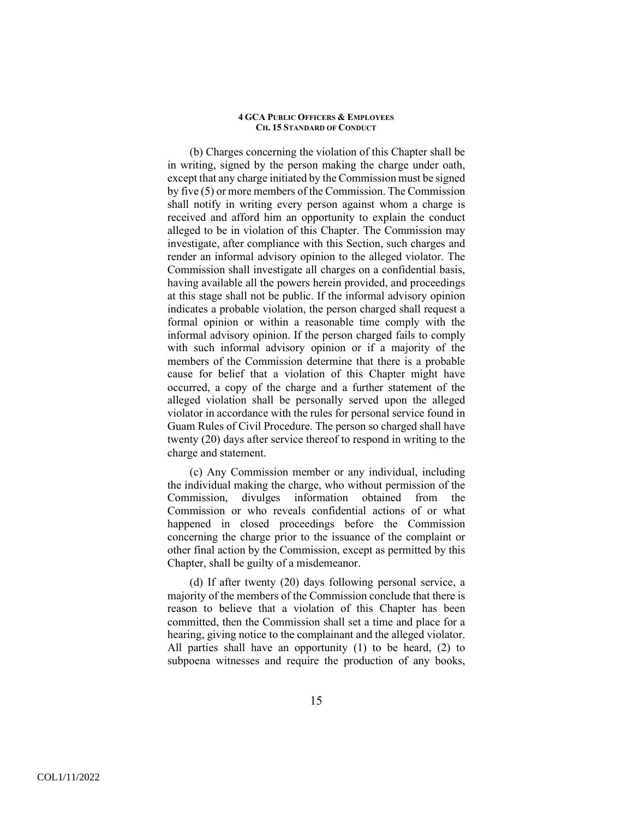(b) Charges concerning the violation of this Chapter shall be in writing, signed by the person making the charge under oath, except that any charge initiated by the Commission must be signed by five (5) or more members of the Commission. The Commission shall notify in writing every person against whom a charge is received and afford him an opportunity to explain the conduct alleged to be in violation of this Chapter. The Commission may investigate, after compliance with this Section, such charges and render an informal advisory opinion to the alleged violator. The Commission shall investigate all charges on a confidential basis, having available all the powers herein provided, and proceedings at this stage shall not be public. If the informal advisory opinion indicates a probable violation, the person charged shall request a formal opinion or within a reasonable time comply with the informal advisory opinion. If the person charged fails to comply with such informal advisory opinion or if a majority of the members of the Commission determine that there is a probable cause for belief that a violation of this Chapter might have occurred, a copy of the charge and a further statement of the alleged violation shall be personally served upon the alleged violator in accordance with the rules for personal service found in Guam Rules of Civil Procedure. The person so charged shall have twenty (20) days after service thereof to respond in writing to the charge and statement.

(c) Any Commission member or any individual, including the individual making the charge, who without permission of the Commission, divulges information obtained from the Commission or who reveals confidential actions of or what happened in closed proceedings before the Commission concerning the charge prior to the issuance of the complaint or other final action by the Commission, except as permitted by this Chapter, shall be guilty of a misdemeanor.

(d) If after twenty (20) days following personal service, a majority of the members of the Commission conclude that there is reason to believe that a violation of this Chapter has been committed, then the Commission shall set a time and place for a hearing, giving notice to the complainant and the alleged violator. All parties shall have an opportunity (1) to be heard, (2) to subpoena witnesses and require the production of any books,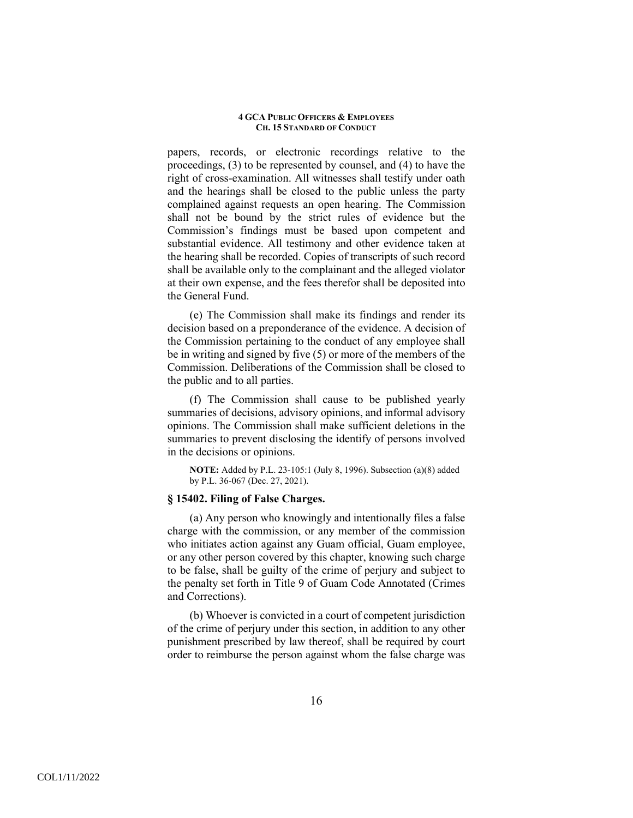papers, records, or electronic recordings relative to the proceedings, (3) to be represented by counsel, and (4) to have the right of cross-examination. All witnesses shall testify under oath and the hearings shall be closed to the public unless the party complained against requests an open hearing. The Commission shall not be bound by the strict rules of evidence but the Commission's findings must be based upon competent and substantial evidence. All testimony and other evidence taken at the hearing shall be recorded. Copies of transcripts of such record shall be available only to the complainant and the alleged violator at their own expense, and the fees therefor shall be deposited into the General Fund.

(e) The Commission shall make its findings and render its decision based on a preponderance of the evidence. A decision of the Commission pertaining to the conduct of any employee shall be in writing and signed by five (5) or more of the members of the Commission. Deliberations of the Commission shall be closed to the public and to all parties.

(f) The Commission shall cause to be published yearly summaries of decisions, advisory opinions, and informal advisory opinions. The Commission shall make sufficient deletions in the summaries to prevent disclosing the identify of persons involved in the decisions or opinions.

**NOTE:** Added by P.L. 23-105:1 (July 8, 1996). Subsection (a)(8) added by P.L. 36-067 (Dec. 27, 2021).

# **§ 15402. Filing of False Charges.**

(a) Any person who knowingly and intentionally files a false charge with the commission, or any member of the commission who initiates action against any Guam official, Guam employee, or any other person covered by this chapter, knowing such charge to be false, shall be guilty of the crime of perjury and subject to the penalty set forth in Title 9 of Guam Code Annotated (Crimes and Corrections).

(b) Whoever is convicted in a court of competent jurisdiction of the crime of perjury under this section, in addition to any other punishment prescribed by law thereof, shall be required by court order to reimburse the person against whom the false charge was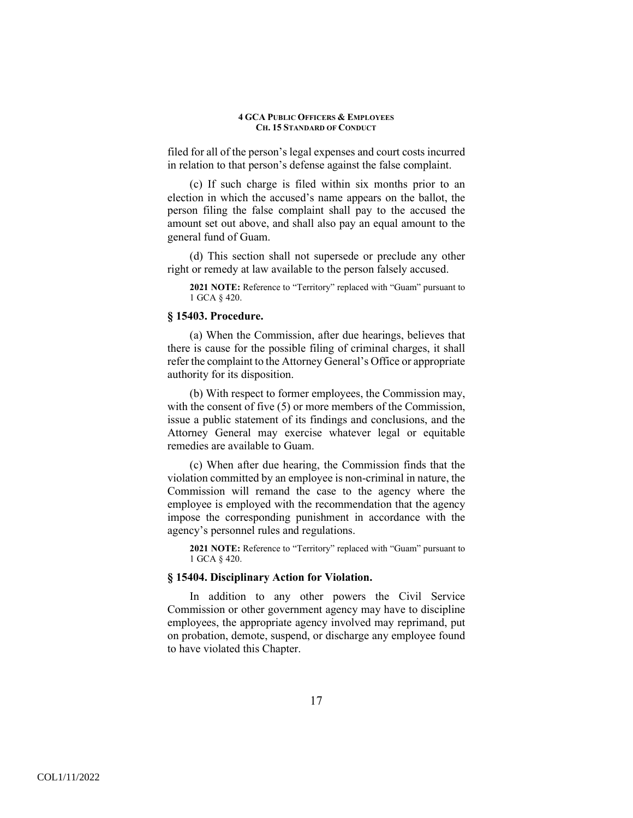filed for all of the person's legal expenses and court costs incurred in relation to that person's defense against the false complaint.

(c) If such charge is filed within six months prior to an election in which the accused's name appears on the ballot, the person filing the false complaint shall pay to the accused the amount set out above, and shall also pay an equal amount to the general fund of Guam.

(d) This section shall not supersede or preclude any other right or remedy at law available to the person falsely accused.

**2021 NOTE:** Reference to "Territory" replaced with "Guam" pursuant to 1 GCA § 420.

## **§ 15403. Procedure.**

(a) When the Commission, after due hearings, believes that there is cause for the possible filing of criminal charges, it shall refer the complaint to the Attorney General's Office or appropriate authority for its disposition.

(b) With respect to former employees, the Commission may, with the consent of five (5) or more members of the Commission, issue a public statement of its findings and conclusions, and the Attorney General may exercise whatever legal or equitable remedies are available to Guam.

(c) When after due hearing, the Commission finds that the violation committed by an employee is non-criminal in nature, the Commission will remand the case to the agency where the employee is employed with the recommendation that the agency impose the corresponding punishment in accordance with the agency's personnel rules and regulations.

**2021 NOTE:** Reference to "Territory" replaced with "Guam" pursuant to 1 GCA § 420.

# **§ 15404. Disciplinary Action for Violation.**

In addition to any other powers the Civil Service Commission or other government agency may have to discipline employees, the appropriate agency involved may reprimand, put on probation, demote, suspend, or discharge any employee found to have violated this Chapter.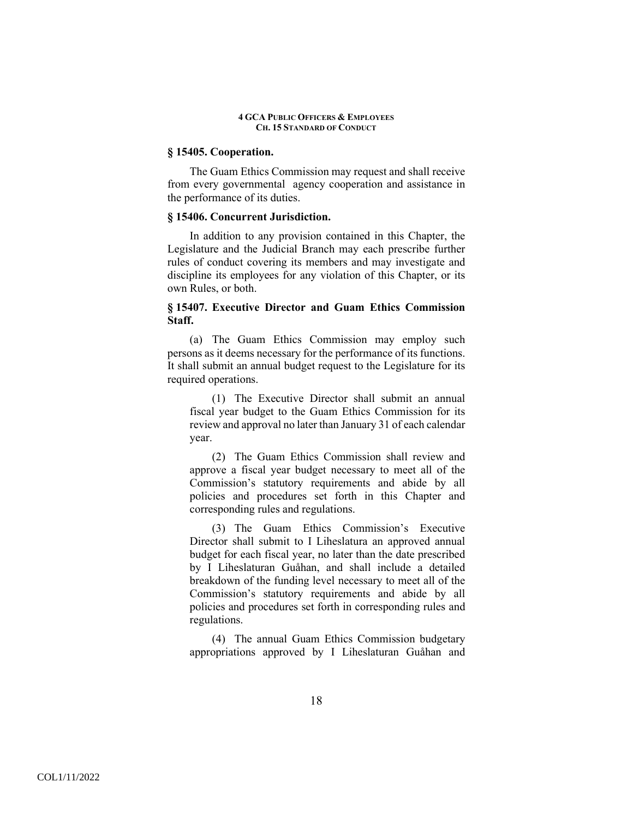# **§ 15405. Cooperation.**

The Guam Ethics Commission may request and shall receive from every governmental agency cooperation and assistance in the performance of its duties.

# **§ 15406. Concurrent Jurisdiction.**

In addition to any provision contained in this Chapter, the Legislature and the Judicial Branch may each prescribe further rules of conduct covering its members and may investigate and discipline its employees for any violation of this Chapter, or its own Rules, or both.

# **§ 15407. Executive Director and Guam Ethics Commission Staff.**

(a) The Guam Ethics Commission may employ such persons as it deems necessary for the performance of its functions. It shall submit an annual budget request to the Legislature for its required operations.

(1) The Executive Director shall submit an annual fiscal year budget to the Guam Ethics Commission for its review and approval no later than January 31 of each calendar year.

(2) The Guam Ethics Commission shall review and approve a fiscal year budget necessary to meet all of the Commission's statutory requirements and abide by all policies and procedures set forth in this Chapter and corresponding rules and regulations.

(3) The Guam Ethics Commission's Executive Director shall submit to I Liheslatura an approved annual budget for each fiscal year, no later than the date prescribed by I Liheslaturan Guåhan, and shall include a detailed breakdown of the funding level necessary to meet all of the Commission's statutory requirements and abide by all policies and procedures set forth in corresponding rules and regulations.

(4) The annual Guam Ethics Commission budgetary appropriations approved by I Liheslaturan Guåhan and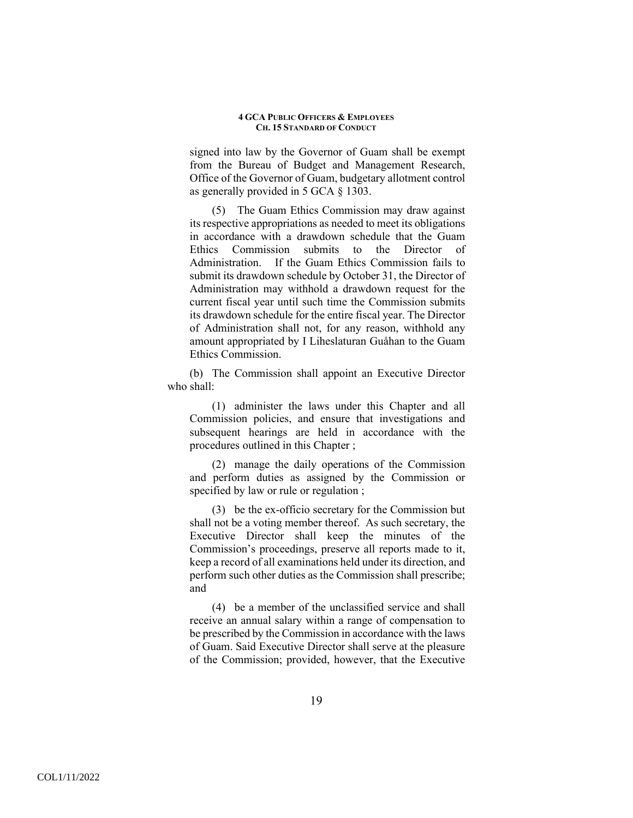signed into law by the Governor of Guam shall be exempt from the Bureau of Budget and Management Research, Office of the Governor of Guam, budgetary allotment control as generally provided in 5 GCA § 1303.

(5) The Guam Ethics Commission may draw against its respective appropriations as needed to meet its obligations in accordance with a drawdown schedule that the Guam Ethics Commission submits to the Director of Administration. If the Guam Ethics Commission fails to submit its drawdown schedule by October 31, the Director of Administration may withhold a drawdown request for the current fiscal year until such time the Commission submits its drawdown schedule for the entire fiscal year. The Director of Administration shall not, for any reason, withhold any amount appropriated by I Liheslaturan Guåhan to the Guam Ethics Commission.

(b) The Commission shall appoint an Executive Director who shall:

(1) administer the laws under this Chapter and all Commission policies, and ensure that investigations and subsequent hearings are held in accordance with the procedures outlined in this Chapter ;

(2) manage the daily operations of the Commission and perform duties as assigned by the Commission or specified by law or rule or regulation ;

(3) be the ex-officio secretary for the Commission but shall not be a voting member thereof. As such secretary, the Executive Director shall keep the minutes of the Commission's proceedings, preserve all reports made to it, keep a record of all examinations held under its direction, and perform such other duties as the Commission shall prescribe; and

(4) be a member of the unclassified service and shall receive an annual salary within a range of compensation to be prescribed by the Commission in accordance with the laws of Guam. Said Executive Director shall serve at the pleasure of the Commission; provided, however, that the Executive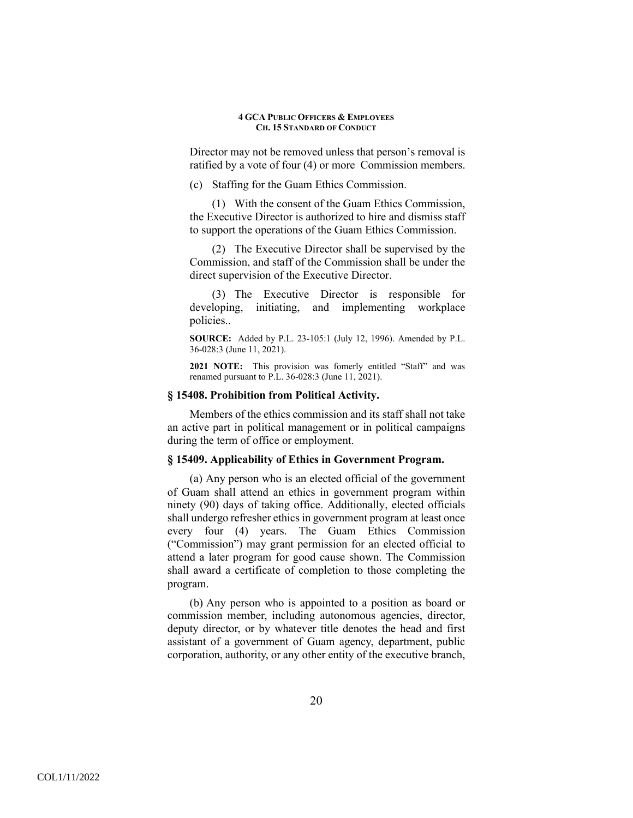Director may not be removed unless that person's removal is ratified by a vote of four (4) or more Commission members.

(c) Staffing for the Guam Ethics Commission.

(1) With the consent of the Guam Ethics Commission, the Executive Director is authorized to hire and dismiss staff to support the operations of the Guam Ethics Commission.

(2) The Executive Director shall be supervised by the Commission, and staff of the Commission shall be under the direct supervision of the Executive Director.

(3) The Executive Director is responsible for developing, initiating, and implementing workplace policies..

**SOURCE:** Added by P.L. 23-105:1 (July 12, 1996). Amended by P.L. 36-028:3 (June 11, 2021).

**2021 NOTE:** This provision was fomerly entitled "Staff" and was renamed pursuant to P.L. 36-028:3 (June 11, 2021).

# **§ 15408. Prohibition from Political Activity.**

Members of the ethics commission and its staff shall not take an active part in political management or in political campaigns during the term of office or employment.

# **§ 15409. Applicability of Ethics in Government Program.**

(a) Any person who is an elected official of the government of Guam shall attend an ethics in government program within ninety (90) days of taking office. Additionally, elected officials shall undergo refresher ethics in government program at least once every four (4) years. The Guam Ethics Commission ("Commission") may grant permission for an elected official to attend a later program for good cause shown. The Commission shall award a certificate of completion to those completing the program.

(b) Any person who is appointed to a position as board or commission member, including autonomous agencies, director, deputy director, or by whatever title denotes the head and first assistant of a government of Guam agency, department, public corporation, authority, or any other entity of the executive branch,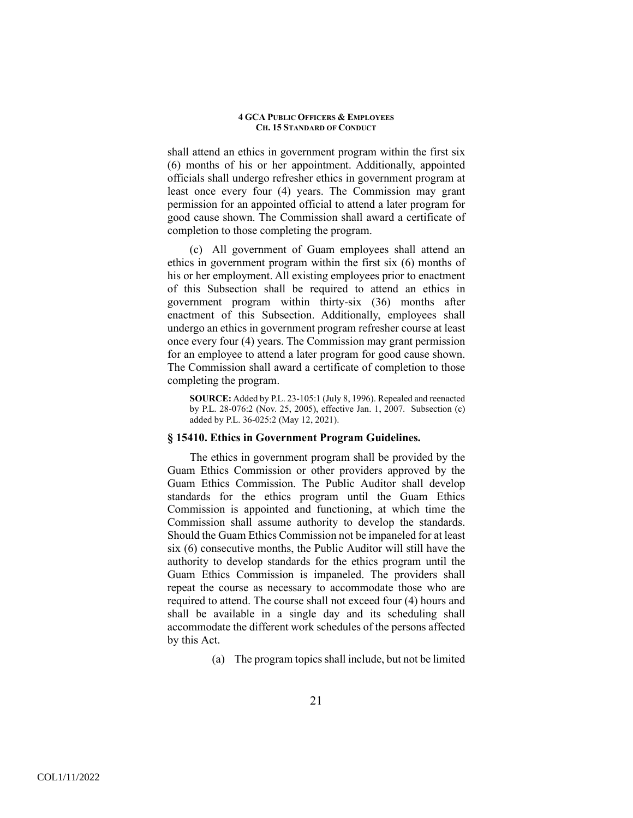shall attend an ethics in government program within the first six (6) months of his or her appointment. Additionally, appointed officials shall undergo refresher ethics in government program at least once every four (4) years. The Commission may grant permission for an appointed official to attend a later program for good cause shown. The Commission shall award a certificate of completion to those completing the program.

(c) All government of Guam employees shall attend an ethics in government program within the first six (6) months of his or her employment. All existing employees prior to enactment of this Subsection shall be required to attend an ethics in government program within thirty-six (36) months after enactment of this Subsection. Additionally, employees shall undergo an ethics in government program refresher course at least once every four (4) years. The Commission may grant permission for an employee to attend a later program for good cause shown. The Commission shall award a certificate of completion to those completing the program.

**SOURCE:** Added by P.L. 23-105:1 (July 8, 1996). Repealed and reenacted by P.L. 28-076:2 (Nov. 25, 2005), effective Jan. 1, 2007. Subsection (c) added by P.L. 36-025:2 (May 12, 2021).

# **§ 15410. Ethics in Government Program Guidelines.**

The ethics in government program shall be provided by the Guam Ethics Commission or other providers approved by the Guam Ethics Commission. The Public Auditor shall develop standards for the ethics program until the Guam Ethics Commission is appointed and functioning, at which time the Commission shall assume authority to develop the standards. Should the Guam Ethics Commission not be impaneled for at least six (6) consecutive months, the Public Auditor will still have the authority to develop standards for the ethics program until the Guam Ethics Commission is impaneled. The providers shall repeat the course as necessary to accommodate those who are required to attend. The course shall not exceed four (4) hours and shall be available in a single day and its scheduling shall accommodate the different work schedules of the persons affected by this Act.

(a) The program topics shall include, but not be limited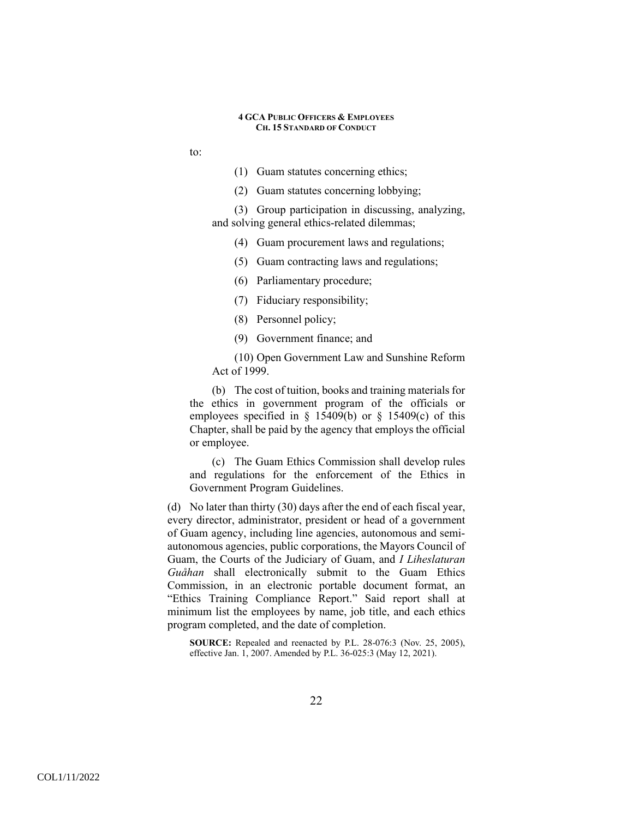- to:
- (1) Guam statutes concerning ethics;
- (2) Guam statutes concerning lobbying;
- (3) Group participation in discussing, analyzing, and solving general ethics-related dilemmas;
	- (4) Guam procurement laws and regulations;
	- (5) Guam contracting laws and regulations;
	- (6) Parliamentary procedure;
	- (7) Fiduciary responsibility;
	- (8) Personnel policy;
	- (9) Government finance; and

(10) Open Government Law and Sunshine Reform Act of 1999.

(b) The cost of tuition, books and training materials for the ethics in government program of the officials or employees specified in  $\S$  15409(b) or  $\S$  15409(c) of this Chapter, shall be paid by the agency that employs the official or employee.

(c) The Guam Ethics Commission shall develop rules and regulations for the enforcement of the Ethics in Government Program Guidelines.

(d) No later than thirty (30) days after the end of each fiscal year, every director, administrator, president or head of a government of Guam agency, including line agencies, autonomous and semiautonomous agencies, public corporations, the Mayors Council of Guam, the Courts of the Judiciary of Guam, and *I Liheslaturan Guåhan* shall electronically submit to the Guam Ethics Commission, in an electronic portable document format, an "Ethics Training Compliance Report." Said report shall at minimum list the employees by name, job title, and each ethics program completed, and the date of completion.

**SOURCE:** Repealed and reenacted by P.L. 28-076:3 (Nov. 25, 2005), effective Jan. 1, 2007. Amended by P.L. 36-025:3 (May 12, 2021).